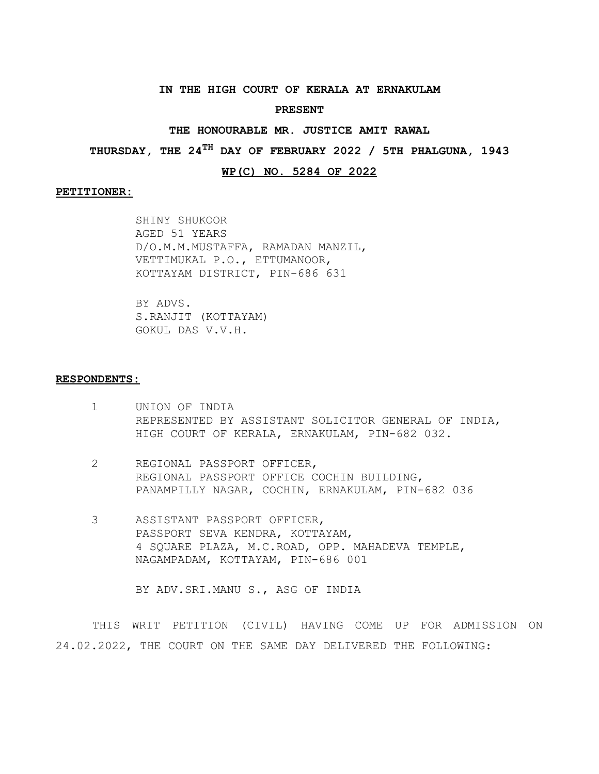## **IN THE HIGH COURT OF KERALA AT ERNAKULAM**

#### **PRESENT**

## **THE HONOURABLE MR. JUSTICE AMIT RAWAL**

**THURSDAY, THE 24TH DAY OF FEBRUARY 2022 / 5TH PHALGUNA, 1943**

# **WP(C) NO. 5284 OF 2022**

### **PETITIONER:**

SHINY SHUKOOR AGED 51 YEARS D/O.M.M.MUSTAFFA, RAMADAN MANZIL, VETTIMUKAL P.O., ETTUMANOOR, KOTTAYAM DISTRICT, PIN-686 631

BY ADVS. S.RANJIT (KOTTAYAM) GOKUL DAS V.V.H.

#### **RESPONDENTS:**

- 1 UNION OF INDIA REPRESENTED BY ASSISTANT SOLICITOR GENERAL OF INDIA, HIGH COURT OF KERALA, ERNAKULAM, PIN-682 032.
- 2 REGIONAL PASSPORT OFFICER, REGIONAL PASSPORT OFFICE COCHIN BUILDING, PANAMPILLY NAGAR, COCHIN, ERNAKULAM, PIN-682 036
- 3 ASSISTANT PASSPORT OFFICER, PASSPORT SEVA KENDRA, KOTTAYAM, 4 SQUARE PLAZA, M.C.ROAD, OPP. MAHADEVA TEMPLE, NAGAMPADAM, KOTTAYAM, PIN-686 001

BY ADV.SRI.MANU S., ASG OF INDIA

THIS WRIT PETITION (CIVIL) HAVING COME UP FOR ADMISSION ON 24.02.2022, THE COURT ON THE SAME DAY DELIVERED THE FOLLOWING: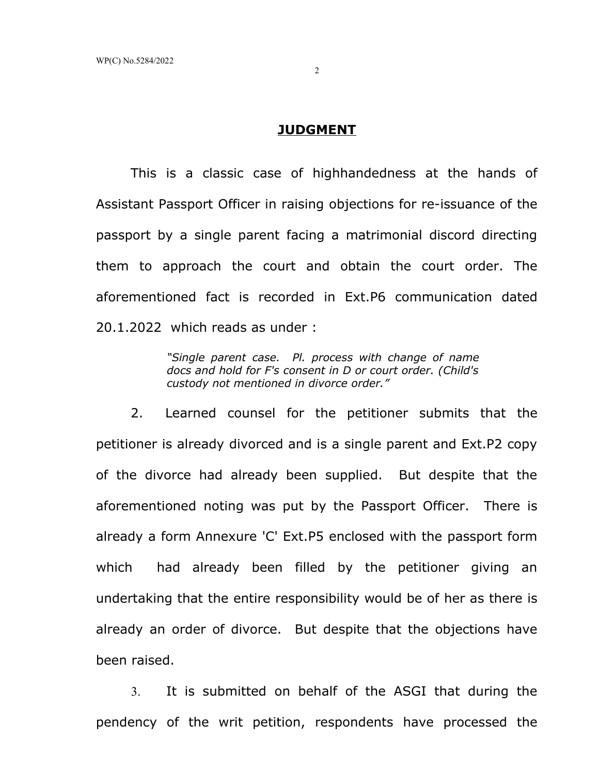# **JUDGMENT**

This is a classic case of highhandedness at the hands of Assistant Passport Officer in raising objections for re-issuance of the passport by a single parent facing a matrimonial discord directing them to approach the court and obtain the court order. The aforementioned fact is recorded in Ext.P6 communication dated 20.1.2022 which reads as under :

> *"Single parent case. Pl. process with change of name docs and hold for F's consent in D or court order. (Child's custody not mentioned in divorce order."*

2. Learned counsel for the petitioner submits that the petitioner is already divorced and is a single parent and Ext.P2 copy of the divorce had already been supplied. But despite that the aforementioned noting was put by the Passport Officer. There is already a form Annexure 'C' Ext.P5 enclosed with the passport form which had already been filled by the petitioner giving an undertaking that the entire responsibility would be of her as there is already an order of divorce. But despite that the objections have been raised.

3. It is submitted on behalf of the ASGI that during the pendency of the writ petition, respondents have processed the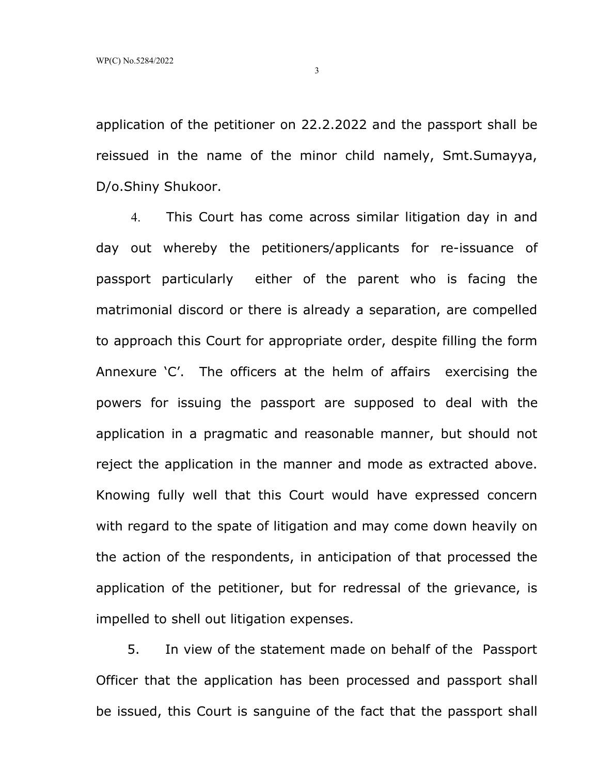application of the petitioner on 22.2.2022 and the passport shall be reissued in the name of the minor child namely, Smt.Sumayya, D/o.Shiny Shukoor.

4. This Court has come across similar litigation day in and day out whereby the petitioners/applicants for re-issuance of passport particularly either of the parent who is facing the matrimonial discord or there is already a separation, are compelled to approach this Court for appropriate order, despite filling the form Annexure 'C'. The officers at the helm of affairs exercising the powers for issuing the passport are supposed to deal with the application in a pragmatic and reasonable manner, but should not reject the application in the manner and mode as extracted above. Knowing fully well that this Court would have expressed concern with regard to the spate of litigation and may come down heavily on the action of the respondents, in anticipation of that processed the application of the petitioner, but for redressal of the grievance, is impelled to shell out litigation expenses.

 5. In view of the statement made on behalf of the Passport Officer that the application has been processed and passport shall be issued, this Court is sanguine of the fact that the passport shall

3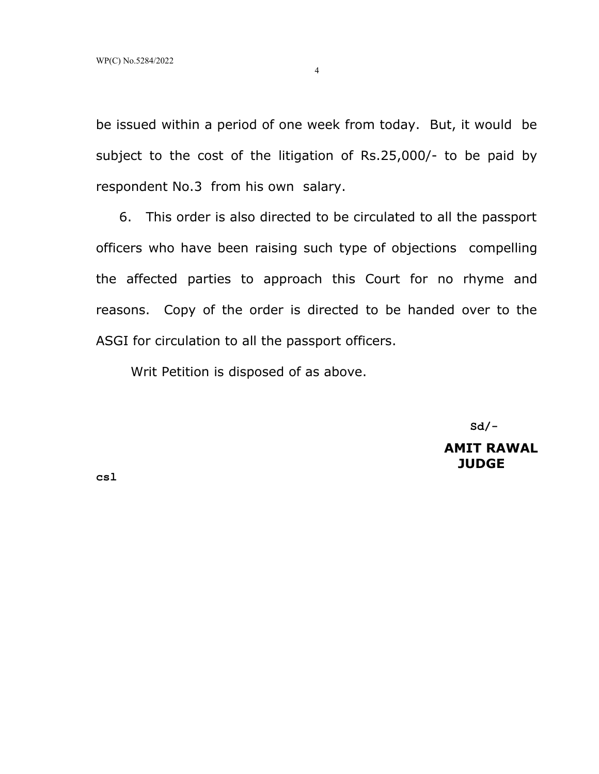be issued within a period of one week from today. But, it would be subject to the cost of the litigation of Rs.25,000/- to be paid by respondent No.3 from his own salary.

 6. This order is also directed to be circulated to all the passport officers who have been raising such type of objections compelling the affected parties to approach this Court for no rhyme and reasons. Copy of the order is directed to be handed over to the ASGI for circulation to all the passport officers.

Writ Petition is disposed of as above.

 **Sd/-**

**AMIT RAWAL JUDGE**

**csl**

4